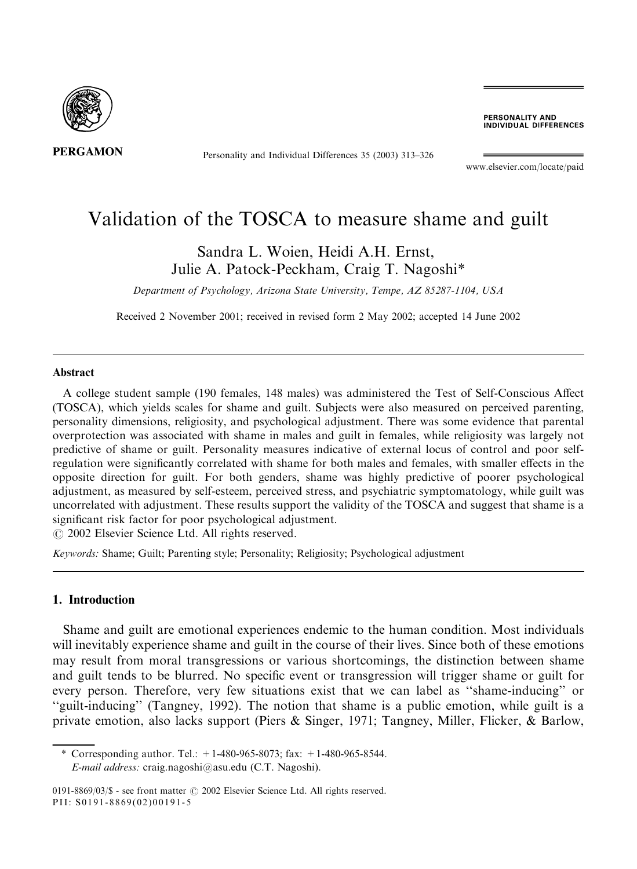

Personality and Individual Differences 35 (2003) 313–326

PERSONALITY AND **INDIVIDUAL DIFFERENCES** 

[www.elsevier.com/locate/paid](http://www.elsevier.com/locate/paid/a4.3d)

## Validation of the TOSCA to measure shame and guilt

Sandra L. Woien, Heidi A.H. Ernst, Julie A. Patock-Peckham, Craig T. Nagoshi\*

Department of Psychology, Arizona State University, Tempe, AZ 85287-1104, USA

Received 2 November 2001; received in revised form 2 May 2002; accepted 14 June 2002

#### Abstract

A college student sample (190 females, 148 males) was administered the Test of Self-Conscious Affect (TOSCA), which yields scales for shame and guilt. Subjects were also measured on perceived parenting, personality dimensions, religiosity, and psychological adjustment. There was some evidence that parental overprotection was associated with shame in males and guilt in females, while religiosity was largely not predictive of shame or guilt. Personality measures indicative of external locus of control and poor selfregulation were significantly correlated with shame for both males and females, with smaller effects in the opposite direction for guilt. For both genders, shame was highly predictive of poorer psychological adjustment, as measured by self-esteem, perceived stress, and psychiatric symptomatology, while guilt was uncorrelated with adjustment. These results support the validity of the TOSCA and suggest that shame is a significant risk factor for poor psychological adjustment.

 $\odot$  2002 Elsevier Science Ltd. All rights reserved.

Keywords: Shame; Guilt; Parenting style; Personality; Religiosity; Psychological adjustment

## 1. Introduction

Shame and guilt are emotional experiences endemic to the human condition. Most individuals will inevitably experience shame and guilt in the course of their lives. Since both of these emotions may result from moral transgressions or various shortcomings, the distinction between shame and guilt tends to be blurred. No specific event or transgression will trigger shame or guilt for every person. Therefore, very few situations exist that we can label as ''shame-inducing'' or ''guilt-inducing'' (Tangney, 1992). The notion that shame is a public emotion, while guilt is a private emotion, also lacks support (Piers & Singer, 1971; Tangney, Miller, Flicker, & Barlow,

\* Corresponding author. Tel.:  $+1-480-965-8073$ ; fax:  $+1-480-965-8544$ . E-mail address: [craig.nagoshi@asu.edu](mailto:craig.nagoshi@asu.edu) (C.T. Nagoshi).

0191-8869/03/\$ - see front matter  $\odot$  2002 Elsevier Science Ltd. All rights reserved. PII: S0191-8869(02)00191-5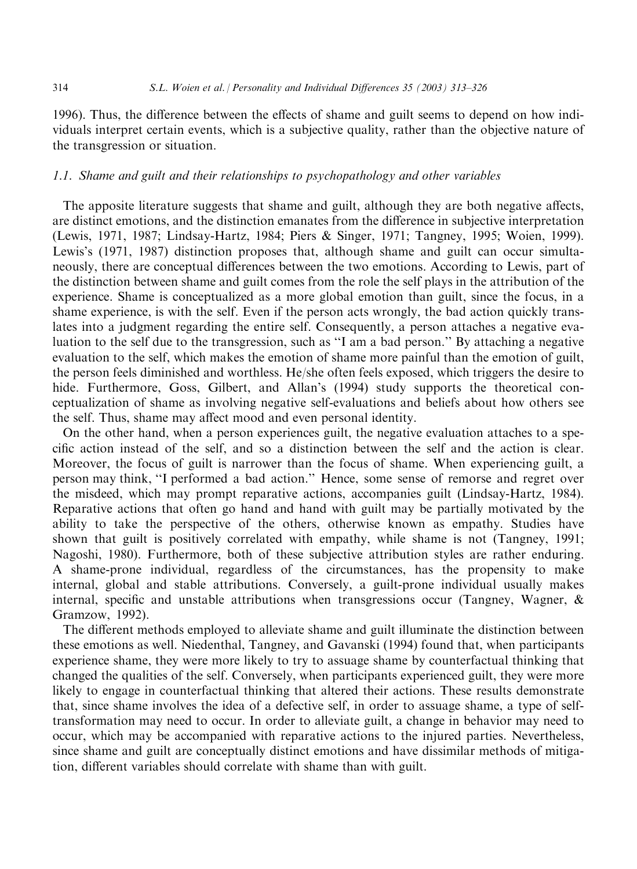1996). Thus, the difference between the effects of shame and guilt seems to depend on how individuals interpret certain events, which is a subjective quality, rather than the objective nature of the transgression or situation.

### 1.1. Shame and guilt and their relationships to psychopathology and other variables

The apposite literature suggests that shame and guilt, although they are both negative affects, are distinct emotions, and the distinction emanates from the difference in subjective interpretation (Lewis, 1971, 1987; Lindsay-Hartz, 1984; Piers & Singer, 1971; Tangney, 1995; Woien, 1999). Lewis's (1971, 1987) distinction proposes that, although shame and guilt can occur simultaneously, there are conceptual differences between the two emotions. According to Lewis, part of the distinction between shame and guilt comes from the role the self plays in the attribution of the experience. Shame is conceptualized as a more global emotion than guilt, since the focus, in a shame experience, is with the self. Even if the person acts wrongly, the bad action quickly translates into a judgment regarding the entire self. Consequently, a person attaches a negative evaluation to the self due to the transgression, such as ''I am a bad person.'' By attaching a negative evaluation to the self, which makes the emotion of shame more painful than the emotion of guilt, the person feels diminished and worthless. He/she often feels exposed, which triggers the desire to hide. Furthermore, Goss, Gilbert, and Allan's (1994) study supports the theoretical conceptualization of shame as involving negative self-evaluations and beliefs about how others see the self. Thus, shame may affect mood and even personal identity.

On the other hand, when a person experiences guilt, the negative evaluation attaches to a specific action instead of the self, and so a distinction between the self and the action is clear. Moreover, the focus of guilt is narrower than the focus of shame. When experiencing guilt, a person may think, ''I performed a bad action.'' Hence, some sense of remorse and regret over the misdeed, which may prompt reparative actions, accompanies guilt (Lindsay-Hartz, 1984). Reparative actions that often go hand and hand with guilt may be partially motivated by the ability to take the perspective of the others, otherwise known as empathy. Studies have shown that guilt is positively correlated with empathy, while shame is not (Tangney, 1991; Nagoshi, 1980). Furthermore, both of these subjective attribution styles are rather enduring. A shame-prone individual, regardless of the circumstances, has the propensity to make internal, global and stable attributions. Conversely, a guilt-prone individual usually makes internal, specific and unstable attributions when transgressions occur (Tangney, Wagner, & Gramzow, 1992).

The different methods employed to alleviate shame and guilt illuminate the distinction between these emotions as well. Niedenthal, Tangney, and Gavanski (1994) found that, when participants experience shame, they were more likely to try to assuage shame by counterfactual thinking that changed the qualities of the self. Conversely, when participants experienced guilt, they were more likely to engage in counterfactual thinking that altered their actions. These results demonstrate that, since shame involves the idea of a defective self, in order to assuage shame, a type of selftransformation may need to occur. In order to alleviate guilt, a change in behavior may need to occur, which may be accompanied with reparative actions to the injured parties. Nevertheless, since shame and guilt are conceptually distinct emotions and have dissimilar methods of mitigation, different variables should correlate with shame than with guilt.